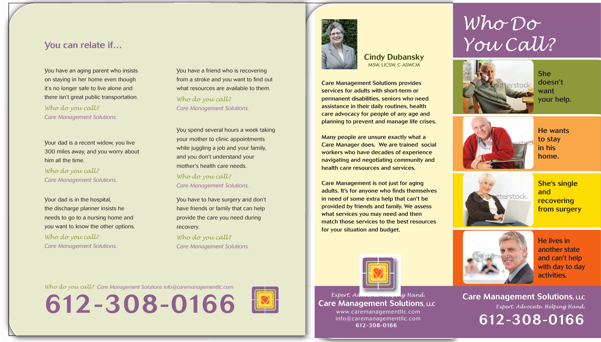Care Management Solutions provides services for adults with short-term or permanent disabilities, seniors who need assistance in their daily routines, health care advocacy for people of any age and planning to prevent and manage life crises.

Many people are unsure exactly what a Care Manager does. We are trained social workers who have decades of experience navigating and negotiating community and health care resources and services.

Care Management is not just for aging adults. It's for anyone who finds themselves in need of some extra help that can't be provided by friends and family. We assess what services you may need and then match those services to the best resources for your situation and budget.

You have an aging parent who insists on staying in her home even though it's no longer safe to live alone and there isn't great public transportation.

*Who do you call? Care Management Solutions.*

You have a friend who is recovering from a stroke and you want to find out what resources are available to them. *Who do you call? Care Management Solutions.*

> Care Management Solutions, LLC *Expert. Advocate. Helping Hand.* 612-308-0166

Your dad is a recent widow, you live 300 miles away, and you worry about him all the time.

*Who do you call? Care Management Solutions.*

You spend several hours a week taking your mother to clinic appointments while juggling a job and your family, and you don't understand your mother's health care needs.

*Who do you call? Care Management Solutions.*

Your dad is in the hospital, the discharge planner insists he needs to go to a nursing home and you want to know the other options.

*Who do you call? Care Management Solutions.* You have to have surgery and don't have friends or family that can help provide the care you need during recovery.

*Who do you call? Care Management Solutions.*



## You can relate if…

612-308-0166





*Who do you call? Care Management Solutions [info@caremanagementllc.com.](mailto:info@caremanagementllc.com)*



She doesn't want your help.



He lives in another state and can't help with day to day activities.

She's single and recovering from surgery



He wants to stay in his home.



# *Who Do You Call?*

*Expert. Advocate. Helping Hand.* Care Management Solutions, LLC [www.caremanagementllc.com](http://www.caremanagementllc.com) [info@caremanagementllc.com](mailto:info@caremanagementllc.com) 612-308-0166

Cindy Dubansky MSW, LICSW, C-ASWCM